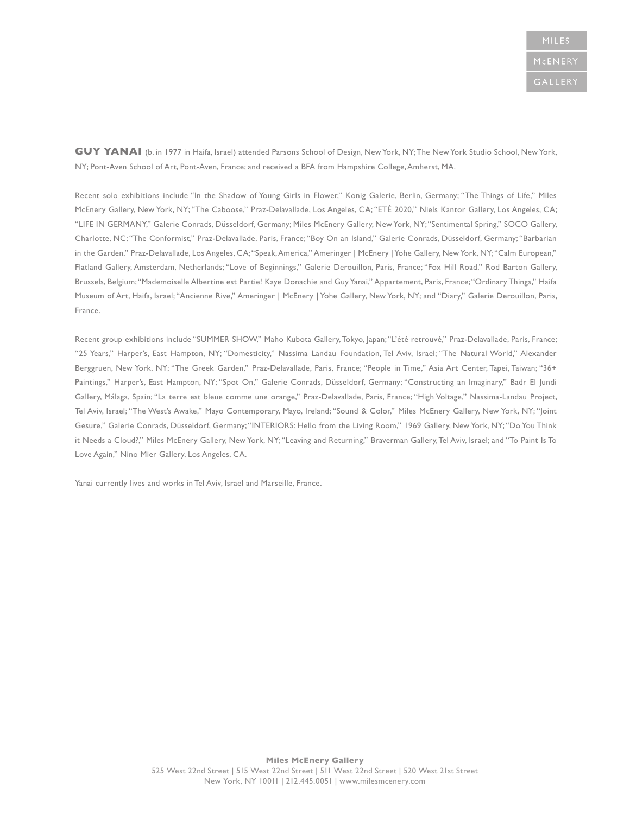**GUY YANAI** (b. in 1977 in Haifa, Israel) attended Parsons School of Design, New York, NY; The New York Studio School, New York, NY; Pont-Aven School of Art, Pont-Aven, France; and received a BFA from Hampshire College, Amherst, MA.

Recent solo exhibitions include "In the Shadow of Young Girls in Flower," König Galerie, Berlin, Germany; "The Things of Life," Miles McEnery Gallery, New York, NY; "The Caboose," Praz-Delavallade, Los Angeles, CA; "ETÉ 2020," Niels Kantor Gallery, Los Angeles, CA; "LIFE IN GERMANY," Galerie Conrads, Düsseldorf, Germany; Miles McEnery Gallery, New York, NY; "Sentimental Spring," SOCO Gallery, Charlotte, NC; "The Conformist," Praz-Delavallade, Paris, France; "Boy On an Island," Galerie Conrads, Düsseldorf, Germany; "Barbarian in the Garden," Praz-Delavallade, Los Angeles, CA; "Speak, America," Ameringer | McEnery | Yohe Gallery, New York, NY; "Calm European," Flatland Gallery, Amsterdam, Netherlands; "Love of Beginnings," Galerie Derouillon, Paris, France; "Fox Hill Road," Rod Barton Gallery, Brussels, Belgium; "Mademoiselle Albertine est Partie! Kaye Donachie and Guy Yanai," Appartement, Paris, France; "Ordinary Things," Haifa Museum of Art, Haifa, Israel; "Ancienne Rive," Ameringer | McEnery | Yohe Gallery, New York, NY; and "Diary," Galerie Derouillon, Paris, France.

Recent group exhibitions include "SUMMER SHOW," Maho Kubota Gallery, Tokyo, Japan; "L'été retrouvé," Praz-Delavallade, Paris, France; "25 Years," Harper's, East Hampton, NY; "Domesticity," Nassima Landau Foundation, Tel Aviv, Israel; "The Natural World," Alexander Berggruen, New York, NY; "The Greek Garden," Praz-Delavallade, Paris, France; "People in Time," Asia Art Center, Tapei, Taiwan; "36+ Paintings," Harper's, East Hampton, NY; "Spot On," Galerie Conrads, Düsseldorf, Germany; "Constructing an Imaginary," Badr El Jundi Gallery, Málaga, Spain; "La terre est bleue comme une orange," Praz-Delavallade, Paris, France; "High Voltage," Nassima-Landau Project, Tel Aviv, Israel; "The West's Awake," Mayo Contemporary, Mayo, Ireland; "Sound & Color," Miles McEnery Gallery, New York, NY; "Joint Gesure," Galerie Conrads, Düsseldorf, Germany; "INTERIORS: Hello from the Living Room," 1969 Gallery, New York, NY; "Do You Think it Needs a Cloud?," Miles McEnery Gallery, New York, NY; "Leaving and Returning," Braverman Gallery, Tel Aviv, Israel; and "To Paint Is To Love Again," Nino Mier Gallery, Los Angeles, CA.

Yanai currently lives and works in Tel Aviv, Israel and Marseille, France.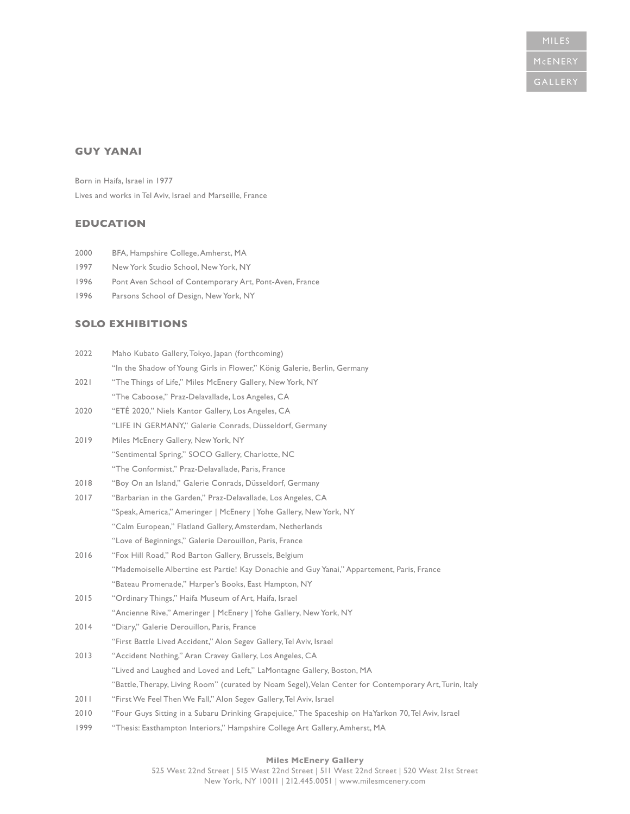# **GUY YANAI**

Born in Haifa, Israel in 1977 Lives and works in Tel Aviv, Israel and Marseille, France

## **EDUCATION**

- 2000 BFA, Hampshire College, Amherst, MA
- 1997 New York Studio School, New York, NY
- 1996 Pont Aven School of Contemporary Art, Pont-Aven, France
- 1996 Parsons School of Design, New York, NY

# **SOLO EXHIBITIONS**

| 2022 | Maho Kubato Gallery, Tokyo, Japan (forthcoming)                                                         |
|------|---------------------------------------------------------------------------------------------------------|
|      | "In the Shadow of Young Girls in Flower," König Galerie, Berlin, Germany                                |
| 2021 | "The Things of Life," Miles McEnery Gallery, New York, NY                                               |
|      | "The Caboose," Praz-Delavallade, Los Angeles, CA                                                        |
| 2020 | "ETÉ 2020," Niels Kantor Gallery, Los Angeles, CA                                                       |
|      | "LIFE IN GERMANY," Galerie Conrads, Düsseldorf, Germany                                                 |
| 2019 | Miles McEnery Gallery, New York, NY                                                                     |
|      | "Sentimental Spring," SOCO Gallery, Charlotte, NC                                                       |
|      | "The Conformist," Praz-Delavallade, Paris, France                                                       |
| 2018 | "Boy On an Island," Galerie Conrads, Düsseldorf, Germany                                                |
| 2017 | "Barbarian in the Garden," Praz-Delavallade, Los Angeles, CA                                            |
|      | "Speak, America," Ameringer   McEnery   Yohe Gallery, New York, NY                                      |
|      | "Calm European," Flatland Gallery, Amsterdam, Netherlands                                               |
|      | "Love of Beginnings," Galerie Derouillon, Paris, France                                                 |
| 2016 | "Fox Hill Road," Rod Barton Gallery, Brussels, Belgium                                                  |
|      | "Mademoiselle Albertine est Partie! Kay Donachie and Guy Yanai," Appartement, Paris, France             |
|      | "Bateau Promenade," Harper's Books, East Hampton, NY                                                    |
| 2015 | "Ordinary Things," Haifa Museum of Art, Haifa, Israel                                                   |
|      | "Ancienne Rive," Ameringer   McEnery   Yohe Gallery, New York, NY                                       |
| 2014 | "Diary," Galerie Derouillon, Paris, France                                                              |
|      | "First Battle Lived Accident," Alon Segev Gallery, Tel Aviv, Israel                                     |
| 2013 | "Accident Nothing," Aran Cravey Gallery, Los Angeles, CA                                                |
|      | "Lived and Laughed and Loved and Left," LaMontagne Gallery, Boston, MA                                  |
|      | "Battle, Therapy, Living Room" (curated by Noam Segel), Velan Center for Contemporary Art, Turin, Italy |
| 2011 | "First We Feel Then We Fall," Alon Segev Gallery, Tel Aviv, Israel                                      |
| 2010 | "Four Guys Sitting in a Subaru Drinking Grapejuice," The Spaceship on HaYarkon 70, Tel Aviv, Israel     |
| 1999 | "Thesis: Easthampton Interiors," Hampshire College Art Gallery, Amherst, MA                             |
|      |                                                                                                         |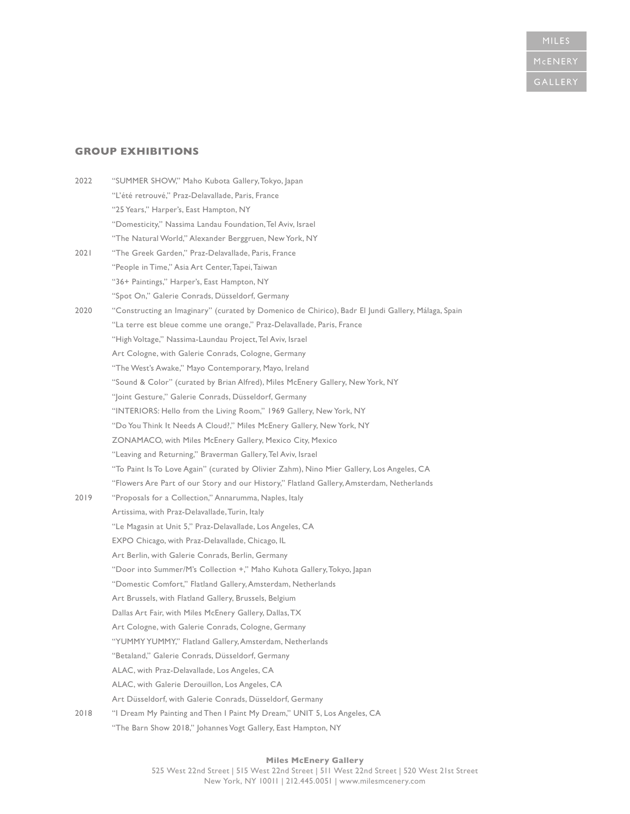# MCENERY

# **GROUP EXHIBITIONS**

| 2022 | "SUMMER SHOW," Maho Kubota Gallery, Tokyo, Japan                                                   |
|------|----------------------------------------------------------------------------------------------------|
|      | "L'été retrouvé," Praz-Delavallade, Paris, France                                                  |
|      | "25 Years," Harper's, East Hampton, NY                                                             |
|      | "Domesticity," Nassima Landau Foundation, Tel Aviv, Israel                                         |
|      | "The Natural World," Alexander Berggruen, New York, NY                                             |
| 2021 | "The Greek Garden," Praz-Delavallade, Paris, France                                                |
|      | "People in Time," Asia Art Center, Tapei, Taiwan                                                   |
|      | "36+ Paintings," Harper's, East Hampton, NY                                                        |
|      | "Spot On," Galerie Conrads, Düsseldorf, Germany                                                    |
| 2020 | "Constructing an Imaginary" (curated by Domenico de Chirico), Badr El Jundi Gallery, Málaga, Spain |
|      | "La terre est bleue comme une orange," Praz-Delavallade, Paris, France                             |
|      | "High Voltage," Nassima-Laundau Project, Tel Aviv, Israel                                          |
|      | Art Cologne, with Galerie Conrads, Cologne, Germany                                                |
|      | "The West's Awake," Mayo Contemporary, Mayo, Ireland                                               |
|      | "Sound & Color" (curated by Brian Alfred), Miles McEnery Gallery, New York, NY                     |
|      | "Joint Gesture," Galerie Conrads, Düsseldorf, Germany                                              |
|      | "INTERIORS: Hello from the Living Room," 1969 Gallery, New York, NY                                |
|      | "Do You Think It Needs A Cloud?," Miles McEnery Gallery, New York, NY                              |
|      | ZONAMACO, with Miles McEnery Gallery, Mexico City, Mexico                                          |
|      | "Leaving and Returning," Braverman Gallery, Tel Aviv, Israel                                       |
|      | "To Paint Is To Love Again" (curated by Olivier Zahm), Nino Mier Gallery, Los Angeles, CA          |
|      | "Flowers Are Part of our Story and our History," Flatland Gallery, Amsterdam, Netherlands          |
| 2019 | "Proposals for a Collection," Annarumma, Naples, Italy                                             |
|      | Artissima, with Praz-Delavallade, Turin, Italy                                                     |
|      | "Le Magasin at Unit 5," Praz-Delavallade, Los Angeles, CA                                          |
|      | EXPO Chicago, with Praz-Delavallade, Chicago, IL                                                   |
|      | Art Berlin, with Galerie Conrads, Berlin, Germany                                                  |
|      | "Door into Summer/M's Collection +," Maho Kuhota Gallery, Tokyo, Japan                             |
|      | "Domestic Comfort," Flatland Gallery, Amsterdam, Netherlands                                       |
|      | Art Brussels, with Flatland Gallery, Brussels, Belgium                                             |
|      | Dallas Art Fair, with Miles McEnery Gallery, Dallas, TX                                            |
|      | Art Cologne, with Galerie Conrads, Cologne, Germany                                                |
|      | "YUMMY YUMMY," Flatland Gallery, Amsterdam, Netherlands                                            |
|      | "Betaland," Galerie Conrads, Düsseldorf, Germany                                                   |
|      | ALAC, with Praz-Delavallade, Los Angeles, CA                                                       |
|      | ALAC, with Galerie Derouillon, Los Angeles, CA                                                     |
|      | Art Düsseldorf, with Galerie Conrads, Düsseldorf, Germany                                          |
| 2018 | "I Dream My Painting and Then I Paint My Dream," UNIT 5, Los Angeles, CA                           |
|      | "The Barn Show 2018," Johannes Vogt Gallery, East Hampton, NY                                      |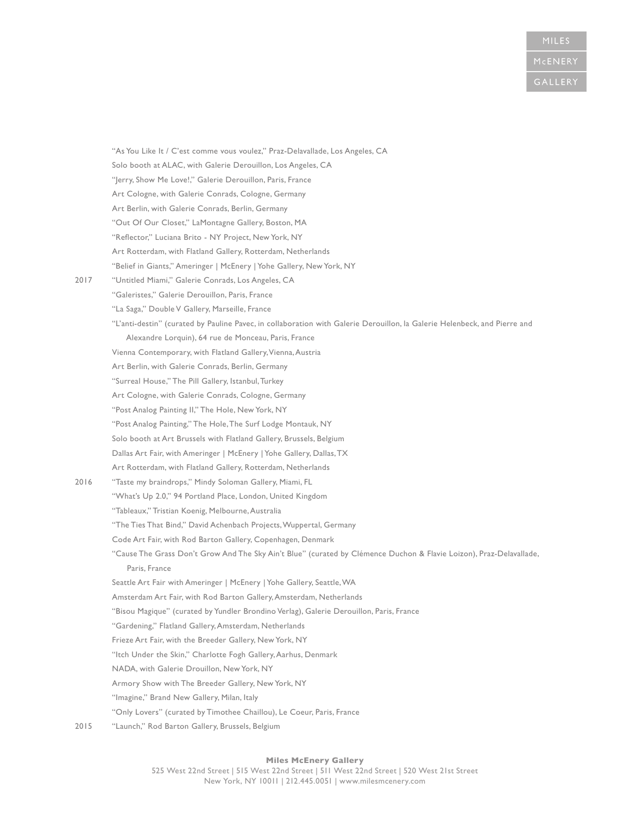"As You Like It / C'est comme vous voulez," Praz-Delavallade, Los Angeles, CA Solo booth at ALAC, with Galerie Derouillon, Los Angeles, CA "Jerry, Show Me Love!," Galerie Derouillon, Paris, France Art Cologne, with Galerie Conrads, Cologne, Germany Art Berlin, with Galerie Conrads, Berlin, Germany "Out Of Our Closet," LaMontagne Gallery, Boston, MA "Reflector," Luciana Brito - NY Project, New York, NY Art Rotterdam, with Flatland Gallery, Rotterdam, Netherlands "Belief in Giants," Ameringer | McEnery | Yohe Gallery, New York, NY 2017 "Untitled Miami," Galerie Conrads, Los Angeles, CA "Galeristes," Galerie Derouillon, Paris, France "La Saga," Double V Gallery, Marseille, France "L'anti-destin" (curated by Pauline Pavec, in collaboration with Galerie Derouillon, la Galerie Helenbeck, and Pierre and Alexandre Lorquin), 64 rue de Monceau, Paris, France Vienna Contemporary, with Flatland Gallery, Vienna, Austria Art Berlin, with Galerie Conrads, Berlin, Germany "Surreal House," The Pill Gallery, Istanbul, Turkey Art Cologne, with Galerie Conrads, Cologne, Germany "Post Analog Painting II," The Hole, New York, NY "Post Analog Painting," The Hole, The Surf Lodge Montauk, NY Solo booth at Art Brussels with Flatland Gallery, Brussels, Belgium Dallas Art Fair, with Ameringer | McEnery | Yohe Gallery, Dallas, TX Art Rotterdam, with Flatland Gallery, Rotterdam, Netherlands 2016 "Taste my braindrops," Mindy Soloman Gallery, Miami, FL "What's Up 2.0," 94 Portland Place, London, United Kingdom "Tableaux," Tristian Koenig, Melbourne, Australia "The Ties That Bind," David Achenbach Projects, Wuppertal, Germany Code Art Fair, with Rod Barton Gallery, Copenhagen, Denmark "Cause The Grass Don't Grow And The Sky Ain't Blue" (curated by Clémence Duchon & Flavie Loizon), Praz-Delavallade, Paris, France Seattle Art Fair with Ameringer | McEnery | Yohe Gallery, Seattle, WA Amsterdam Art Fair, with Rod Barton Gallery, Amsterdam, Netherlands "Bisou Magique" (curated by Yundler Brondino Verlag), Galerie Derouillon, Paris, France "Gardening," Flatland Gallery, Amsterdam, Netherlands Frieze Art Fair, with the Breeder Gallery, New York, NY "Itch Under the Skin," Charlotte Fogh Gallery, Aarhus, Denmark NADA, with Galerie Drouillon, New York, NY Armory Show with The Breeder Gallery, New York, NY "Imagine," Brand New Gallery, Milan, Italy "Only Lovers" (curated by Timothee Chaillou), Le Coeur, Paris, France 2015 "Launch," Rod Barton Gallery, Brussels, Belgium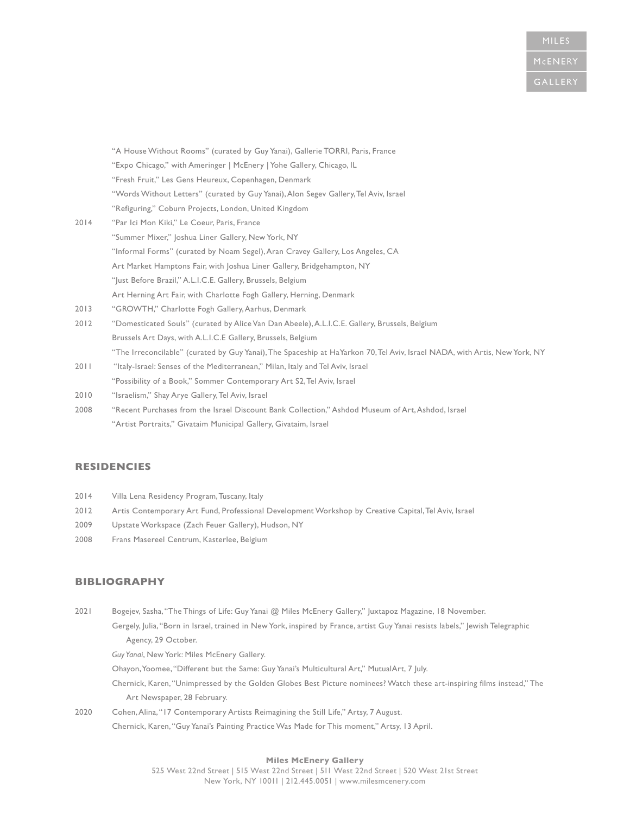"A House Without Rooms" (curated by Guy Yanai), Gallerie TORRI, Paris, France "Expo Chicago," with Ameringer | McEnery | Yohe Gallery, Chicago, IL "Fresh Fruit," Les Gens Heureux, Copenhagen, Denmark "Words Without Letters" (curated by Guy Yanai), Alon Segev Gallery, Tel Aviv, Israel "Refiguring," Coburn Projects, London, United Kingdom

- 2014 "Par Ici Mon Kiki," Le Coeur, Paris, France "Summer Mixer," Joshua Liner Gallery, New York, NY "Informal Forms" (curated by Noam Segel), Aran Cravey Gallery, Los Angeles, CA Art Market Hamptons Fair, with Joshua Liner Gallery, Bridgehampton, NY "Just Before Brazil," A.L.I.C.E. Gallery, Brussels, Belgium Art Herning Art Fair, with Charlotte Fogh Gallery, Herning, Denmark
- 2013 "GROWTH," Charlotte Fogh Gallery, Aarhus, Denmark
- 2012 "Domesticated Souls" (curated by Alice Van Dan Abeele), A.L.I.C.E. Gallery, Brussels, Belgium Brussels Art Days, with A.L.I.C.E Gallery, Brussels, Belgium "The Irreconcilable" (curated by Guy Yanai), The Spaceship at HaYarkon 70, Tel Aviv, Israel NADA, with Artis, New York, NY
- 2011 "Italy-Israel: Senses of the Mediterranean," Milan, Italy and Tel Aviv, Israel "Possibility of a Book," Sommer Contemporary Art S2, Tel Aviv, Israel
- 2010 "Israelism," Shay Arye Gallery, Tel Aviv, Israel
- 2008 "Recent Purchases from the Israel Discount Bank Collection," Ashdod Museum of Art, Ashdod, Israel "Artist Portraits," Givataim Municipal Gallery, Givataim, Israel

## **RESIDENCIES**

- 2014 Villa Lena Residency Program, Tuscany, Italy
- 2012 Artis Contemporary Art Fund, Professional Development Workshop by Creative Capital, Tel Aviv, Israel
- 2009 Upstate Workspace (Zach Feuer Gallery), Hudson, NY
- 2008 Frans Masereel Centrum, Kasterlee, Belgium

## **BIBLIOGRAPHY**

2021 Bogejev, Sasha, "The Things of Life: Guy Yanai @ Miles McEnery Gallery," Juxtapoz Magazine, 18 November.

Gergely, Julia, "Born in Israel, trained in New York, inspired by France, artist Guy Yanai resists labels," Jewish Telegraphic Agency, 29 October.

*Guy Yanai*, New York: Miles McEnery Gallery.

Ohayon, Yoomee, "Different but the Same: Guy Yanai's Multicultural Art," MutualArt, 7 July.

Chernick, Karen, "Unimpressed by the Golden Globes Best Picture nominees? Watch these art-inspiring films instead," The Art Newspaper, 28 February.

2020 Cohen, Alina, "17 Contemporary Artists Reimagining the Still Life," Artsy, 7 August. Chernick, Karen, "Guy Yanai's Painting Practice Was Made for This moment," Artsy, 13 April.